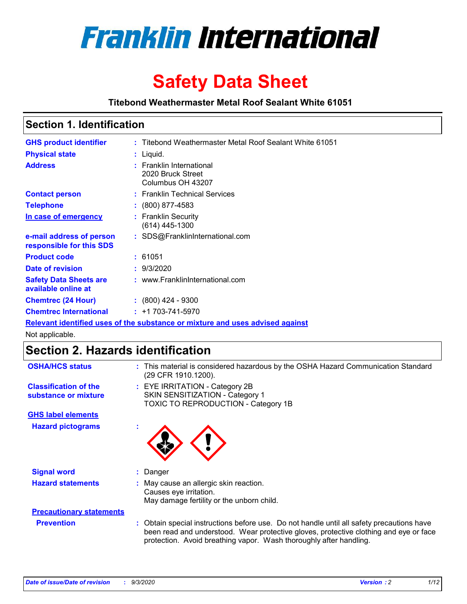

# **Safety Data Sheet**

**Titebond Weathermaster Metal Roof Sealant White 61051**

### **Section 1. Identification**

| <b>GHS product identifier</b>                                                 |  | : Titebond Weathermaster Metal Roof Sealant White 61051            |  |  |
|-------------------------------------------------------------------------------|--|--------------------------------------------------------------------|--|--|
| <b>Physical state</b>                                                         |  | : Liquid.                                                          |  |  |
| <b>Address</b>                                                                |  | : Franklin International<br>2020 Bruck Street<br>Columbus OH 43207 |  |  |
| <b>Contact person</b>                                                         |  | : Franklin Technical Services                                      |  |  |
| <b>Telephone</b>                                                              |  | $: (800) 877 - 4583$                                               |  |  |
| In case of emergency                                                          |  | : Franklin Security<br>(614) 445-1300                              |  |  |
| e-mail address of person<br>responsible for this SDS                          |  | : SDS@FranklinInternational.com                                    |  |  |
| <b>Product code</b>                                                           |  | : 61051                                                            |  |  |
| Date of revision                                                              |  | : 9/3/2020                                                         |  |  |
| <b>Safety Data Sheets are</b><br>available online at                          |  | : www.FranklinInternational.com                                    |  |  |
| <b>Chemtrec (24 Hour)</b>                                                     |  | $: (800)$ 424 - 9300                                               |  |  |
| <b>Chemtrec International</b>                                                 |  | $: +1703 - 741 - 5970$                                             |  |  |
| Relevant identified uses of the substance or mixture and uses advised against |  |                                                                    |  |  |

Not applicable.

# **Section 2. Hazards identification**

| <b>OSHA/HCS status</b>                               |    | : This material is considered hazardous by the OSHA Hazard Communication Standard<br>(29 CFR 1910.1200).                                                                                                                                                 |
|------------------------------------------------------|----|----------------------------------------------------------------------------------------------------------------------------------------------------------------------------------------------------------------------------------------------------------|
| <b>Classification of the</b><br>substance or mixture |    | : EYE IRRITATION - Category 2B<br>SKIN SENSITIZATION - Category 1<br><b>TOXIC TO REPRODUCTION - Category 1B</b>                                                                                                                                          |
| <b>GHS label elements</b>                            |    |                                                                                                                                                                                                                                                          |
| <b>Hazard pictograms</b>                             | ٠  |                                                                                                                                                                                                                                                          |
| <b>Signal word</b>                                   | ÷. | Danger                                                                                                                                                                                                                                                   |
| <b>Hazard statements</b>                             |    | May cause an allergic skin reaction.<br>Causes eye irritation.<br>May damage fertility or the unborn child.                                                                                                                                              |
| <b>Precautionary statements</b>                      |    |                                                                                                                                                                                                                                                          |
| <b>Prevention</b>                                    |    | : Obtain special instructions before use. Do not handle until all safety precautions have<br>been read and understood. Wear protective gloves, protective clothing and eye or face<br>protection. Avoid breathing vapor. Wash thoroughly after handling. |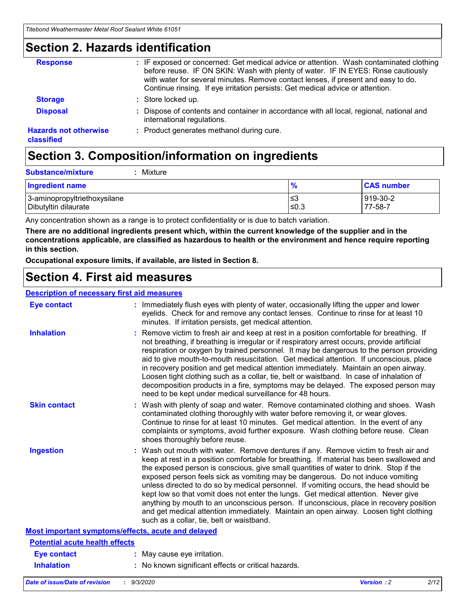### **Section 2. Hazards identification**

| <b>Response</b>                            | : IF exposed or concerned: Get medical advice or attention. Wash contaminated clothing<br>before reuse. IF ON SKIN: Wash with plenty of water. IF IN EYES: Rinse cautiously<br>with water for several minutes. Remove contact lenses, if present and easy to do.<br>Continue rinsing. If eye irritation persists: Get medical advice or attention. |
|--------------------------------------------|----------------------------------------------------------------------------------------------------------------------------------------------------------------------------------------------------------------------------------------------------------------------------------------------------------------------------------------------------|
| <b>Storage</b>                             | : Store locked up.                                                                                                                                                                                                                                                                                                                                 |
| <b>Disposal</b>                            | : Dispose of contents and container in accordance with all local, regional, national and<br>international regulations.                                                                                                                                                                                                                             |
| <b>Hazards not otherwise</b><br>classified | : Product generates methanol during cure.                                                                                                                                                                                                                                                                                                          |

# **Section 3. Composition/information on ingredients**

| <b>Substance/mixture</b> | Mixture |
|--------------------------|---------|
|                          |         |

| <b>Ingredient name</b>       | $\frac{9}{6}$ | <b>CAS number</b> |
|------------------------------|---------------|-------------------|
| 3-aminopropyltriethoxysilane | ՝≤3           | 919-30-2          |
| Dibutyltin dilaurate         | ∣≤0.3         | 77-58-7           |

Any concentration shown as a range is to protect confidentiality or is due to batch variation.

**There are no additional ingredients present which, within the current knowledge of the supplier and in the concentrations applicable, are classified as hazardous to health or the environment and hence require reporting in this section.**

**Occupational exposure limits, if available, are listed in Section 8.**

### **Section 4. First aid measures**

| <b>Description of necessary first aid measures</b> |                                                                                                                                                                                                                                                                                                                                                                                                                                                                                                                                                                                                                                                                                                                                                                           |
|----------------------------------------------------|---------------------------------------------------------------------------------------------------------------------------------------------------------------------------------------------------------------------------------------------------------------------------------------------------------------------------------------------------------------------------------------------------------------------------------------------------------------------------------------------------------------------------------------------------------------------------------------------------------------------------------------------------------------------------------------------------------------------------------------------------------------------------|
| <b>Eye contact</b>                                 | : Immediately flush eyes with plenty of water, occasionally lifting the upper and lower<br>eyelids. Check for and remove any contact lenses. Continue to rinse for at least 10<br>minutes. If irritation persists, get medical attention.                                                                                                                                                                                                                                                                                                                                                                                                                                                                                                                                 |
| <b>Inhalation</b>                                  | : Remove victim to fresh air and keep at rest in a position comfortable for breathing. If<br>not breathing, if breathing is irregular or if respiratory arrest occurs, provide artificial<br>respiration or oxygen by trained personnel. It may be dangerous to the person providing<br>aid to give mouth-to-mouth resuscitation. Get medical attention. If unconscious, place<br>in recovery position and get medical attention immediately. Maintain an open airway.<br>Loosen tight clothing such as a collar, tie, belt or waistband. In case of inhalation of<br>decomposition products in a fire, symptoms may be delayed. The exposed person may<br>need to be kept under medical surveillance for 48 hours.                                                       |
| <b>Skin contact</b>                                | : Wash with plenty of soap and water. Remove contaminated clothing and shoes. Wash<br>contaminated clothing thoroughly with water before removing it, or wear gloves.<br>Continue to rinse for at least 10 minutes. Get medical attention. In the event of any<br>complaints or symptoms, avoid further exposure. Wash clothing before reuse. Clean<br>shoes thoroughly before reuse.                                                                                                                                                                                                                                                                                                                                                                                     |
| <b>Ingestion</b>                                   | : Wash out mouth with water. Remove dentures if any. Remove victim to fresh air and<br>keep at rest in a position comfortable for breathing. If material has been swallowed and<br>the exposed person is conscious, give small quantities of water to drink. Stop if the<br>exposed person feels sick as vomiting may be dangerous. Do not induce vomiting<br>unless directed to do so by medical personnel. If vomiting occurs, the head should be<br>kept low so that vomit does not enter the lungs. Get medical attention. Never give<br>anything by mouth to an unconscious person. If unconscious, place in recovery position<br>and get medical attention immediately. Maintain an open airway. Loosen tight clothing<br>such as a collar, tie, belt or waistband. |
| Most important symptoms/effects, acute and delayed |                                                                                                                                                                                                                                                                                                                                                                                                                                                                                                                                                                                                                                                                                                                                                                           |
| <b>Potential acute health effects</b>              |                                                                                                                                                                                                                                                                                                                                                                                                                                                                                                                                                                                                                                                                                                                                                                           |
| <b>Eye contact</b>                                 | : May cause eye irritation.                                                                                                                                                                                                                                                                                                                                                                                                                                                                                                                                                                                                                                                                                                                                               |
| <b>Inhalation</b>                                  | : No known significant effects or critical hazards.                                                                                                                                                                                                                                                                                                                                                                                                                                                                                                                                                                                                                                                                                                                       |
|                                                    |                                                                                                                                                                                                                                                                                                                                                                                                                                                                                                                                                                                                                                                                                                                                                                           |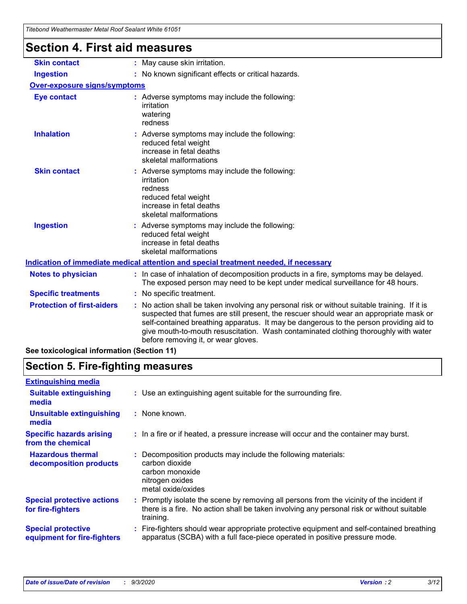| Titebond Weathermaster Metal Roof Sealant White 61051                                |                                                                                                                                                                                                                                                                                                                                                                                                                                                              |  |  |  |  |
|--------------------------------------------------------------------------------------|--------------------------------------------------------------------------------------------------------------------------------------------------------------------------------------------------------------------------------------------------------------------------------------------------------------------------------------------------------------------------------------------------------------------------------------------------------------|--|--|--|--|
| <b>Section 4. First aid measures</b>                                                 |                                                                                                                                                                                                                                                                                                                                                                                                                                                              |  |  |  |  |
| <b>Skin contact</b>                                                                  | : May cause skin irritation.                                                                                                                                                                                                                                                                                                                                                                                                                                 |  |  |  |  |
| <b>Ingestion</b>                                                                     | : No known significant effects or critical hazards.                                                                                                                                                                                                                                                                                                                                                                                                          |  |  |  |  |
| <b>Over-exposure signs/symptoms</b>                                                  |                                                                                                                                                                                                                                                                                                                                                                                                                                                              |  |  |  |  |
| <b>Eye contact</b>                                                                   | : Adverse symptoms may include the following:<br>irritation<br>watering<br>redness                                                                                                                                                                                                                                                                                                                                                                           |  |  |  |  |
| <b>Inhalation</b>                                                                    | : Adverse symptoms may include the following:<br>reduced fetal weight<br>increase in fetal deaths<br>skeletal malformations                                                                                                                                                                                                                                                                                                                                  |  |  |  |  |
| <b>Skin contact</b>                                                                  | : Adverse symptoms may include the following:<br>irritation<br>redness<br>reduced fetal weight<br>increase in fetal deaths<br>skeletal malformations                                                                                                                                                                                                                                                                                                         |  |  |  |  |
| <b>Ingestion</b>                                                                     | : Adverse symptoms may include the following:<br>reduced fetal weight<br>increase in fetal deaths<br>skeletal malformations                                                                                                                                                                                                                                                                                                                                  |  |  |  |  |
| Indication of immediate medical attention and special treatment needed, if necessary |                                                                                                                                                                                                                                                                                                                                                                                                                                                              |  |  |  |  |
| <b>Notes to physician</b>                                                            | : In case of inhalation of decomposition products in a fire, symptoms may be delayed.<br>The exposed person may need to be kept under medical surveillance for 48 hours.                                                                                                                                                                                                                                                                                     |  |  |  |  |
| <b>Specific treatments</b>                                                           | : No specific treatment.                                                                                                                                                                                                                                                                                                                                                                                                                                     |  |  |  |  |
| <b>Protection of first-aiders</b>                                                    | : No action shall be taken involving any personal risk or without suitable training. If it is<br>suspected that fumes are still present, the rescuer should wear an appropriate mask or<br>self-contained breathing apparatus. It may be dangerous to the person providing aid to<br>give mouth-to-mouth resuscitation. Wash contaminated clothing thoroughly with water<br>before removing it, or wear gloves.<br>a terrinalagiaal information (Cootion 44) |  |  |  |  |

**See toxicological information (Section 11)**

### **Section 5. Fire-fighting measures**

| <b>Extinguishing media</b>                               |                                                                                                                                                                                                   |
|----------------------------------------------------------|---------------------------------------------------------------------------------------------------------------------------------------------------------------------------------------------------|
| <b>Suitable extinguishing</b><br>media                   | : Use an extinguishing agent suitable for the surrounding fire.                                                                                                                                   |
| <b>Unsuitable extinguishing</b><br>media                 | : None known.                                                                                                                                                                                     |
| <b>Specific hazards arising</b><br>from the chemical     | : In a fire or if heated, a pressure increase will occur and the container may burst.                                                                                                             |
| <b>Hazardous thermal</b><br>decomposition products       | Decomposition products may include the following materials:<br>carbon dioxide<br>carbon monoxide<br>nitrogen oxides<br>metal oxide/oxides                                                         |
| <b>Special protective actions</b><br>for fire-fighters   | Promptly isolate the scene by removing all persons from the vicinity of the incident if<br>there is a fire. No action shall be taken involving any personal risk or without suitable<br>training. |
| <b>Special protective</b><br>equipment for fire-fighters | Fire-fighters should wear appropriate protective equipment and self-contained breathing<br>apparatus (SCBA) with a full face-piece operated in positive pressure mode.                            |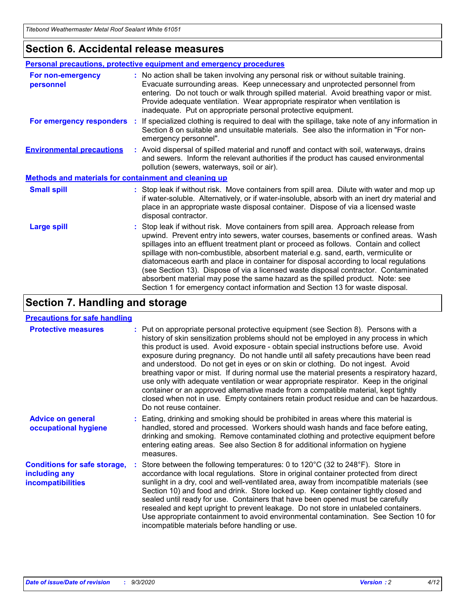### **Section 6. Accidental release measures**

|                                                              | Personal precautions, protective equipment and emergency procedures                                                                                                                                                                                                                                                                                                                                                                                                                                                                                                                                                                                                                                          |
|--------------------------------------------------------------|--------------------------------------------------------------------------------------------------------------------------------------------------------------------------------------------------------------------------------------------------------------------------------------------------------------------------------------------------------------------------------------------------------------------------------------------------------------------------------------------------------------------------------------------------------------------------------------------------------------------------------------------------------------------------------------------------------------|
| For non-emergency<br>personnel                               | : No action shall be taken involving any personal risk or without suitable training.<br>Evacuate surrounding areas. Keep unnecessary and unprotected personnel from<br>entering. Do not touch or walk through spilled material. Avoid breathing vapor or mist.<br>Provide adequate ventilation. Wear appropriate respirator when ventilation is<br>inadequate. Put on appropriate personal protective equipment.                                                                                                                                                                                                                                                                                             |
| For emergency responders                                     | : If specialized clothing is required to deal with the spillage, take note of any information in<br>Section 8 on suitable and unsuitable materials. See also the information in "For non-<br>emergency personnel".                                                                                                                                                                                                                                                                                                                                                                                                                                                                                           |
| <b>Environmental precautions</b>                             | : Avoid dispersal of spilled material and runoff and contact with soil, waterways, drains<br>and sewers. Inform the relevant authorities if the product has caused environmental<br>pollution (sewers, waterways, soil or air).                                                                                                                                                                                                                                                                                                                                                                                                                                                                              |
| <b>Methods and materials for containment and cleaning up</b> |                                                                                                                                                                                                                                                                                                                                                                                                                                                                                                                                                                                                                                                                                                              |
| <b>Small spill</b>                                           | : Stop leak if without risk. Move containers from spill area. Dilute with water and mop up<br>if water-soluble. Alternatively, or if water-insoluble, absorb with an inert dry material and<br>place in an appropriate waste disposal container. Dispose of via a licensed waste<br>disposal contractor.                                                                                                                                                                                                                                                                                                                                                                                                     |
| <b>Large spill</b>                                           | : Stop leak if without risk. Move containers from spill area. Approach release from<br>upwind. Prevent entry into sewers, water courses, basements or confined areas. Wash<br>spillages into an effluent treatment plant or proceed as follows. Contain and collect<br>spillage with non-combustible, absorbent material e.g. sand, earth, vermiculite or<br>diatomaceous earth and place in container for disposal according to local regulations<br>(see Section 13). Dispose of via a licensed waste disposal contractor. Contaminated<br>absorbent material may pose the same hazard as the spilled product. Note: see<br>Section 1 for emergency contact information and Section 13 for waste disposal. |

# **Section 7. Handling and storage**

#### **Precautions for safe handling**

| <b>Protective measures</b>                                                       | : Put on appropriate personal protective equipment (see Section 8). Persons with a<br>history of skin sensitization problems should not be employed in any process in which<br>this product is used. Avoid exposure - obtain special instructions before use. Avoid<br>exposure during pregnancy. Do not handle until all safety precautions have been read<br>and understood. Do not get in eyes or on skin or clothing. Do not ingest. Avoid<br>breathing vapor or mist. If during normal use the material presents a respiratory hazard,<br>use only with adequate ventilation or wear appropriate respirator. Keep in the original<br>container or an approved alternative made from a compatible material, kept tightly<br>closed when not in use. Empty containers retain product residue and can be hazardous.<br>Do not reuse container. |
|----------------------------------------------------------------------------------|--------------------------------------------------------------------------------------------------------------------------------------------------------------------------------------------------------------------------------------------------------------------------------------------------------------------------------------------------------------------------------------------------------------------------------------------------------------------------------------------------------------------------------------------------------------------------------------------------------------------------------------------------------------------------------------------------------------------------------------------------------------------------------------------------------------------------------------------------|
| <b>Advice on general</b><br>occupational hygiene                                 | : Eating, drinking and smoking should be prohibited in areas where this material is<br>handled, stored and processed. Workers should wash hands and face before eating,<br>drinking and smoking. Remove contaminated clothing and protective equipment before<br>entering eating areas. See also Section 8 for additional information on hygiene<br>measures.                                                                                                                                                                                                                                                                                                                                                                                                                                                                                    |
| <b>Conditions for safe storage,</b><br>including any<br><i>incompatibilities</i> | Store between the following temperatures: 0 to 120°C (32 to 248°F). Store in<br>accordance with local regulations. Store in original container protected from direct<br>sunlight in a dry, cool and well-ventilated area, away from incompatible materials (see<br>Section 10) and food and drink. Store locked up. Keep container tightly closed and<br>sealed until ready for use. Containers that have been opened must be carefully<br>resealed and kept upright to prevent leakage. Do not store in unlabeled containers.<br>Use appropriate containment to avoid environmental contamination. See Section 10 for<br>incompatible materials before handling or use.                                                                                                                                                                         |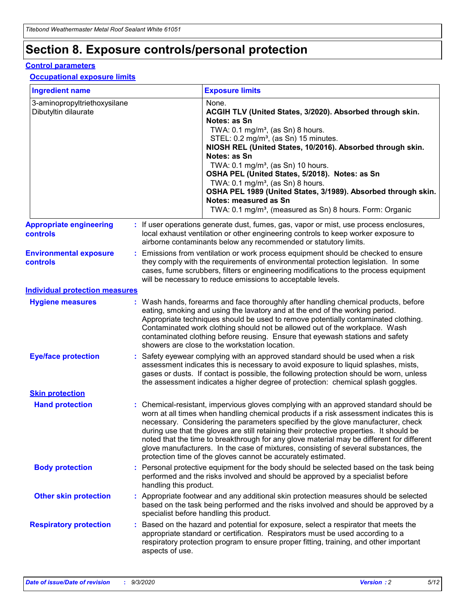# **Section 8. Exposure controls/personal protection**

#### **Control parameters**

#### **Occupational exposure limits**

| <b>Ingredient name</b>                               |    |                        | <b>Exposure limits</b>                                                                                                                                                                                                                                                                                                                                                                                                                                                                                                                                                                                                 |
|------------------------------------------------------|----|------------------------|------------------------------------------------------------------------------------------------------------------------------------------------------------------------------------------------------------------------------------------------------------------------------------------------------------------------------------------------------------------------------------------------------------------------------------------------------------------------------------------------------------------------------------------------------------------------------------------------------------------------|
| 3-aminopropyltriethoxysilane<br>Dibutyltin dilaurate |    |                        | None.<br>ACGIH TLV (United States, 3/2020). Absorbed through skin.<br>Notes: as Sn<br>TWA: $0.1 \text{ mg/m}^3$ , (as Sn) 8 hours.<br>STEL: 0.2 mg/m <sup>3</sup> , (as Sn) 15 minutes.<br>NIOSH REL (United States, 10/2016). Absorbed through skin.<br>Notes: as Sn<br>TWA: 0.1 mg/m <sup>3</sup> , (as Sn) 10 hours.<br>OSHA PEL (United States, 5/2018). Notes: as Sn<br>TWA: 0.1 mg/m <sup>3</sup> , (as Sn) 8 hours.<br>OSHA PEL 1989 (United States, 3/1989). Absorbed through skin.<br>Notes: measured as Sn<br>TWA: 0.1 mg/m <sup>3</sup> , (measured as Sn) 8 hours. Form: Organic                           |
| <b>Appropriate engineering</b><br>controls           |    |                        | : If user operations generate dust, fumes, gas, vapor or mist, use process enclosures,<br>local exhaust ventilation or other engineering controls to keep worker exposure to<br>airborne contaminants below any recommended or statutory limits.                                                                                                                                                                                                                                                                                                                                                                       |
| <b>Environmental exposure</b><br>controls            |    |                        | Emissions from ventilation or work process equipment should be checked to ensure<br>they comply with the requirements of environmental protection legislation. In some<br>cases, fume scrubbers, filters or engineering modifications to the process equipment<br>will be necessary to reduce emissions to acceptable levels.                                                                                                                                                                                                                                                                                          |
| <b>Individual protection measures</b>                |    |                        |                                                                                                                                                                                                                                                                                                                                                                                                                                                                                                                                                                                                                        |
| <b>Hygiene measures</b>                              |    |                        | : Wash hands, forearms and face thoroughly after handling chemical products, before<br>eating, smoking and using the lavatory and at the end of the working period.<br>Appropriate techniques should be used to remove potentially contaminated clothing.<br>Contaminated work clothing should not be allowed out of the workplace. Wash<br>contaminated clothing before reusing. Ensure that eyewash stations and safety<br>showers are close to the workstation location.                                                                                                                                            |
| <b>Eye/face protection</b>                           |    |                        | Safety eyewear complying with an approved standard should be used when a risk<br>assessment indicates this is necessary to avoid exposure to liquid splashes, mists,<br>gases or dusts. If contact is possible, the following protection should be worn, unless<br>the assessment indicates a higher degree of protection: chemical splash goggles.                                                                                                                                                                                                                                                                    |
| <b>Skin protection</b>                               |    |                        |                                                                                                                                                                                                                                                                                                                                                                                                                                                                                                                                                                                                                        |
| <b>Hand protection</b>                               |    |                        | : Chemical-resistant, impervious gloves complying with an approved standard should be<br>worn at all times when handling chemical products if a risk assessment indicates this is<br>necessary. Considering the parameters specified by the glove manufacturer, check<br>during use that the gloves are still retaining their protective properties. It should be<br>noted that the time to breakthrough for any glove material may be different for different<br>glove manufacturers. In the case of mixtures, consisting of several substances, the<br>protection time of the gloves cannot be accurately estimated. |
| <b>Body protection</b>                               |    | handling this product. | Personal protective equipment for the body should be selected based on the task being<br>performed and the risks involved and should be approved by a specialist before                                                                                                                                                                                                                                                                                                                                                                                                                                                |
| <b>Other skin protection</b>                         |    |                        | : Appropriate footwear and any additional skin protection measures should be selected<br>based on the task being performed and the risks involved and should be approved by a<br>specialist before handling this product.                                                                                                                                                                                                                                                                                                                                                                                              |
| <b>Respiratory protection</b>                        | ÷. | aspects of use.        | Based on the hazard and potential for exposure, select a respirator that meets the<br>appropriate standard or certification. Respirators must be used according to a<br>respiratory protection program to ensure proper fitting, training, and other important                                                                                                                                                                                                                                                                                                                                                         |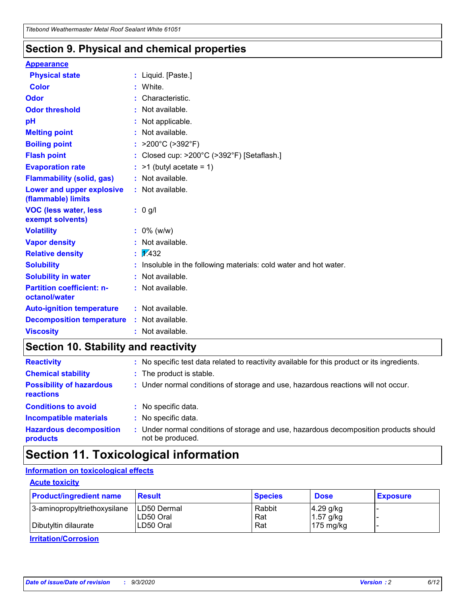### **Section 9. Physical and chemical properties**

#### **Appearance**

| <b>Physical state</b>                                  | : Liquid. [Paste.]                                              |
|--------------------------------------------------------|-----------------------------------------------------------------|
| Color                                                  | White.                                                          |
| Odor                                                   | Characteristic.                                                 |
| <b>Odor threshold</b>                                  | Not available.                                                  |
| pH                                                     | Not applicable.                                                 |
| <b>Melting point</b>                                   | Not available.                                                  |
| <b>Boiling point</b>                                   | : $>200^{\circ}$ C ( $>392^{\circ}$ F)                          |
| <b>Flash point</b>                                     | Closed cup: >200°C (>392°F) [Setaflash.]                        |
| <b>Evaporation rate</b>                                | $:$ >1 (butyl acetate = 1)                                      |
| <b>Flammability (solid, gas)</b>                       | : Not available.                                                |
| <b>Lower and upper explosive</b><br>(flammable) limits | : Not available.                                                |
| <b>VOC (less water, less)</b><br>exempt solvents)      | $: 0$ g/l                                                       |
| <b>Volatility</b>                                      | $: 0\%$ (w/w)                                                   |
| <b>Vapor density</b>                                   | Not available.                                                  |
| <b>Relative density</b>                                | $\frac{1}{2}$ 2.432                                             |
| <b>Solubility</b>                                      | Insoluble in the following materials: cold water and hot water. |
| <b>Solubility in water</b>                             | Not available.                                                  |
| <b>Partition coefficient: n-</b><br>octanol/water      | : Not available.                                                |
| <b>Auto-ignition temperature</b>                       | : Not available.                                                |
| <b>Decomposition temperature</b>                       | : Not available.                                                |
| <b>Viscosity</b>                                       | : Not available.                                                |

### **Section 10. Stability and reactivity**

| <b>Reactivity</b>                            |    | : No specific test data related to reactivity available for this product or its ingredients.            |
|----------------------------------------------|----|---------------------------------------------------------------------------------------------------------|
| <b>Chemical stability</b>                    |    | : The product is stable.                                                                                |
| <b>Possibility of hazardous</b><br>reactions |    | : Under normal conditions of storage and use, hazardous reactions will not occur.                       |
| <b>Conditions to avoid</b>                   |    | : No specific data.                                                                                     |
| <b>Incompatible materials</b>                | ٠. | No specific data.                                                                                       |
| <b>Hazardous decomposition</b><br>products   | ÷. | Under normal conditions of storage and use, hazardous decomposition products should<br>not be produced. |

# **Section 11. Toxicological information**

#### **Information on toxicological effects**

#### **Acute toxicity**

| <b>Product/ingredient name</b> | <b>Result</b>           | <b>Species</b> | <b>Dose</b>                | <b>Exposure</b> |
|--------------------------------|-------------------------|----------------|----------------------------|-----------------|
| 3-aminopropyltriethoxysilane   | <b>ILD50 Dermal</b>     | Rabbit         | 4.29 g/kg                  |                 |
| Dibutyltin dilaurate           | ILD50 Oral<br>LD50 Oral | Rat<br>Rat     | $1.57$ g/kg<br>175 $mg/kg$ |                 |
|                                |                         |                |                            |                 |

**Irritation/Corrosion**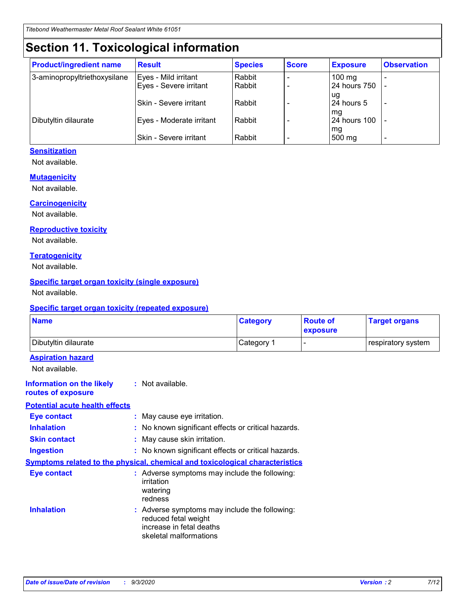# **Section 11. Toxicological information**

| <b>Product/ingredient name</b> | <b>Result</b>            | <b>Species</b> | <b>Score</b> | <b>Exposure</b>    | <b>Observation</b> |
|--------------------------------|--------------------------|----------------|--------------|--------------------|--------------------|
| 3-aminopropyltriethoxysilane   | Eyes - Mild irritant     | Rabbit         |              | $100 \text{ mg}$   |                    |
|                                | Eyes - Severe irritant   | Rabbit         |              | 24 hours 750       |                    |
|                                |                          |                |              | ug                 |                    |
|                                | Skin - Severe irritant   | Rabbit         |              | 24 hours 5         | -                  |
| Dibutyltin dilaurate           | Eyes - Moderate irritant | Rabbit         |              | mg<br>24 hours 100 |                    |
|                                |                          |                |              | mg                 |                    |
|                                | Skin - Severe irritant   | Rabbit         |              | 500 mg             | -                  |

#### **Sensitization**

Not available.

#### **Mutagenicity**

Not available.

#### **Carcinogenicity**

Not available.

#### **Reproductive toxicity**

Not available.

#### **Teratogenicity**

Not available.

#### **Specific target organ toxicity (single exposure)**

Not available.

#### **Specific target organ toxicity (repeated exposure)**

| <b>Name</b>                                                                  |                                                                                    | <b>Category</b>                                     | <b>Route of</b><br>exposure | <b>Target organs</b> |  |  |
|------------------------------------------------------------------------------|------------------------------------------------------------------------------------|-----------------------------------------------------|-----------------------------|----------------------|--|--|
| Dibutyltin dilaurate                                                         |                                                                                    | Category 1                                          | $\overline{\phantom{0}}$    | respiratory system   |  |  |
| <b>Aspiration hazard</b><br>Not available.                                   |                                                                                    |                                                     |                             |                      |  |  |
| <b>Information on the likely</b><br>routes of exposure                       | : Not available.                                                                   |                                                     |                             |                      |  |  |
| <b>Potential acute health effects</b>                                        |                                                                                    |                                                     |                             |                      |  |  |
| <b>Eye contact</b>                                                           | : May cause eye irritation.                                                        |                                                     |                             |                      |  |  |
| <b>Inhalation</b>                                                            |                                                                                    | : No known significant effects or critical hazards. |                             |                      |  |  |
| <b>Skin contact</b>                                                          |                                                                                    | : May cause skin irritation.                        |                             |                      |  |  |
| <b>Ingestion</b>                                                             |                                                                                    | : No known significant effects or critical hazards. |                             |                      |  |  |
| Symptoms related to the physical, chemical and toxicological characteristics |                                                                                    |                                                     |                             |                      |  |  |
| <b>Eye contact</b>                                                           | : Adverse symptoms may include the following:<br>irritation<br>watering<br>redness |                                                     |                             |                      |  |  |
| <b>Inhalation</b>                                                            | reduced fetal weight<br>increase in fetal deaths<br>skeletal malformations         | : Adverse symptoms may include the following:       |                             |                      |  |  |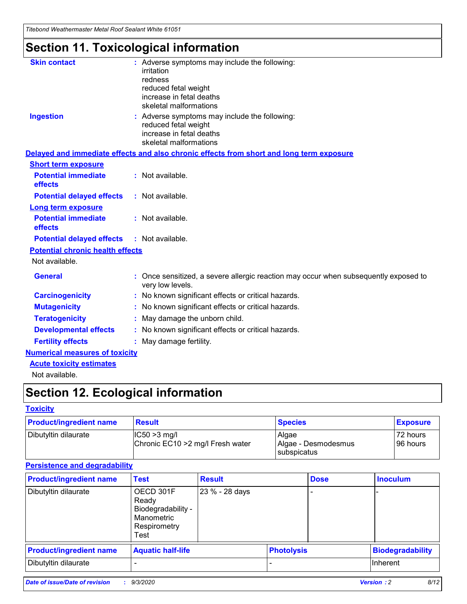*Titebond Weathermaster Metal Roof Sealant White 61051*

# **Section 11. Toxicological information**

| <b>Skin contact</b>                     | irritation<br>redness<br>reduced fetal weight<br>increase in fetal deaths<br>skeletal malformations | : Adverse symptoms may include the following:                                            |
|-----------------------------------------|-----------------------------------------------------------------------------------------------------|------------------------------------------------------------------------------------------|
| <b>Ingestion</b>                        | reduced fetal weight<br>increase in fetal deaths<br>skeletal malformations                          | : Adverse symptoms may include the following:                                            |
|                                         |                                                                                                     | Delayed and immediate effects and also chronic effects from short and long term exposure |
| <b>Short term exposure</b>              |                                                                                                     |                                                                                          |
| <b>Potential immediate</b><br>effects   | : Not available.                                                                                    |                                                                                          |
| <b>Potential delayed effects</b>        | : Not available.                                                                                    |                                                                                          |
| <b>Long term exposure</b>               |                                                                                                     |                                                                                          |
| <b>Potential immediate</b><br>effects   | : Not available.                                                                                    |                                                                                          |
| <b>Potential delayed effects</b>        | : Not available.                                                                                    |                                                                                          |
| <b>Potential chronic health effects</b> |                                                                                                     |                                                                                          |
| Not available.                          |                                                                                                     |                                                                                          |
| <b>General</b>                          | very low levels.                                                                                    | : Once sensitized, a severe allergic reaction may occur when subsequently exposed to     |
| <b>Carcinogenicity</b>                  |                                                                                                     | : No known significant effects or critical hazards.                                      |
| <b>Mutagenicity</b>                     |                                                                                                     | No known significant effects or critical hazards.                                        |
| <b>Teratogenicity</b>                   |                                                                                                     | May damage the unborn child.                                                             |
| <b>Developmental effects</b>            |                                                                                                     | : No known significant effects or critical hazards.                                      |
| <b>Fertility effects</b>                | May damage fertility.                                                                               |                                                                                          |
| <b>Numerical measures of toxicity</b>   |                                                                                                     |                                                                                          |
| <b>Acute toxicity estimates</b>         |                                                                                                     |                                                                                          |
| Not available.                          |                                                                                                     |                                                                                          |

# **Section 12. Ecological information**

#### **Toxicity**

| <b>Product/ingredient name</b> | <b>Result</b>                                       | <b>Species</b>               | <b>Exposure</b>       |
|--------------------------------|-----------------------------------------------------|------------------------------|-----------------------|
| Dibutyltin dilaurate           | $ IC50>3$ mg/l<br>Chronic EC10 > 2 mg/l Fresh water | Algae<br>Algae - Desmodesmus | 72 hours<br>196 hours |
|                                |                                                     | subspicatus                  |                       |

#### **Persistence and degradability**

| <b>Product/ingredient name</b> | <b>Test</b>                                                                    | <b>Result</b>  |                   | <b>Dose</b> | <b>Inoculum</b>         |
|--------------------------------|--------------------------------------------------------------------------------|----------------|-------------------|-------------|-------------------------|
| Dibutyltin dilaurate           | OECD 301F<br>Ready<br>Biodegradability -<br>Manometric<br>Respirometry<br>Test | 23 % - 28 days |                   |             |                         |
| <b>Product/ingredient name</b> | <b>Aquatic half-life</b>                                                       |                | <b>Photolysis</b> |             | <b>Biodegradability</b> |
| Dibutyltin dilaurate           |                                                                                |                |                   |             | <b>Inherent</b>         |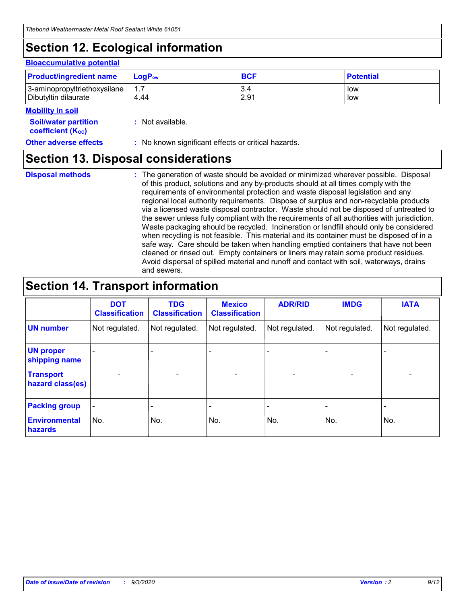# **Section 12. Ecological information**

#### **Bioaccumulative potential**

| <b>Product/ingredient name</b> | $\mathsf{LogP}_\mathsf{ow}$ | <b>BCF</b> | <b>Potential</b> |
|--------------------------------|-----------------------------|------------|------------------|
| 3-aminopropyltriethoxysilane   | 1.7                         | 3.4        | low              |
| Dibutyltin dilaurate           | 4.44                        | 2.91       | low              |

#### **Mobility in soil**

| <b>INIUDIIILY III SUII</b>                              |                                                     |
|---------------------------------------------------------|-----------------------------------------------------|
| <b>Soil/water partition</b><br><b>coefficient (Koc)</b> | : Not available.                                    |
| <b>Other adverse effects</b>                            | : No known significant effects or critical hazards. |

### **Section 13. Disposal considerations**

**Disposal methods :**

The generation of waste should be avoided or minimized wherever possible. Disposal of this product, solutions and any by-products should at all times comply with the requirements of environmental protection and waste disposal legislation and any regional local authority requirements. Dispose of surplus and non-recyclable products via a licensed waste disposal contractor. Waste should not be disposed of untreated to the sewer unless fully compliant with the requirements of all authorities with jurisdiction. Waste packaging should be recycled. Incineration or landfill should only be considered when recycling is not feasible. This material and its container must be disposed of in a safe way. Care should be taken when handling emptied containers that have not been cleaned or rinsed out. Empty containers or liners may retain some product residues. Avoid dispersal of spilled material and runoff and contact with soil, waterways, drains and sewers.

### **Section 14. Transport information**

|                                      | <b>DOT</b><br><b>Classification</b> | <b>TDG</b><br><b>Classification</b> | <b>Mexico</b><br><b>Classification</b> | <b>ADR/RID</b>           | <b>IMDG</b>              | <b>IATA</b>    |
|--------------------------------------|-------------------------------------|-------------------------------------|----------------------------------------|--------------------------|--------------------------|----------------|
| <b>UN number</b>                     | Not regulated.                      | Not regulated.                      | Not regulated.                         | Not regulated.           | Not regulated.           | Not regulated. |
| <b>UN proper</b><br>shipping name    |                                     |                                     |                                        |                          |                          |                |
| <b>Transport</b><br>hazard class(es) |                                     | $\overline{\phantom{0}}$            | $\qquad \qquad \blacksquare$           | $\overline{\phantom{0}}$ | $\overline{\phantom{0}}$ |                |
| <b>Packing group</b>                 |                                     |                                     |                                        |                          |                          |                |
| <b>Environmental</b><br>hazards      | No.                                 | No.                                 | No.                                    | No.                      | No.                      | No.            |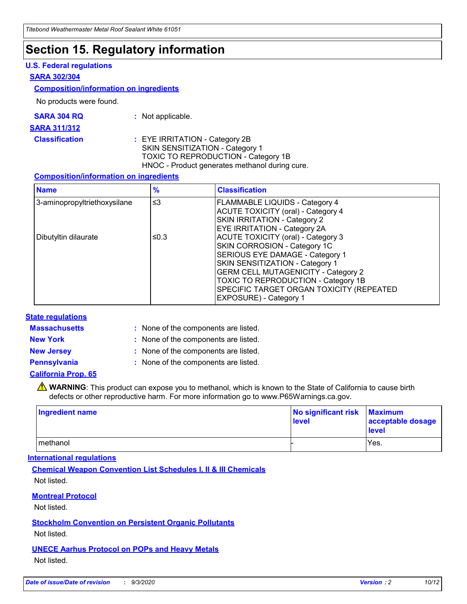### **Section 15. Regulatory information**

#### **U.S. Federal regulations**

#### **SARA 302/304**

#### **Composition/information on ingredients**

No products were found.

| SARA 304 RQ | Not applicable. |
|-------------|-----------------|
|-------------|-----------------|

#### **SARA 311/312**

**Classification :** EYE IRRITATION - Category 2B SKIN SENSITIZATION - Category 1 TOXIC TO REPRODUCTION - Category 1B HNOC - Product generates methanol during cure.

#### **Composition/information on ingredients**

| <b>Name</b>                  | $\frac{9}{6}$ | <b>Classification</b>                                                                                                                                                                                                                                                                                      |
|------------------------------|---------------|------------------------------------------------------------------------------------------------------------------------------------------------------------------------------------------------------------------------------------------------------------------------------------------------------------|
| 3-aminopropyltriethoxysilane | $\leq$ 3      | <b>FLAMMABLE LIQUIDS - Category 4</b><br><b>ACUTE TOXICITY (oral) - Category 4</b><br><b>SKIN IRRITATION - Category 2</b><br>EYE IRRITATION - Category 2A                                                                                                                                                  |
| Dibutyltin dilaurate         | ≤0.3          | <b>ACUTE TOXICITY (oral) - Category 3</b><br>SKIN CORROSION - Category 1C<br>SERIOUS EYE DAMAGE - Category 1<br>SKIN SENSITIZATION - Category 1<br><b>GERM CELL MUTAGENICITY - Category 2</b><br>TOXIC TO REPRODUCTION - Category 1B<br>SPECIFIC TARGET ORGAN TOXICITY (REPEATED<br>EXPOSURE) - Category 1 |

#### **State regulations**

**Massachusetts :**

: None of the components are listed.

**New York :** None of the components are listed. **New Jersey :** None of the components are listed.

**Pennsylvania :** None of the components are listed.

#### **California Prop. 65**

WARNING: This product can expose you to methanol, which is known to the State of California to cause birth defects or other reproductive harm. For more information go to www.P65Warnings.ca.gov.

| Ingredient name | No significant risk Maximum<br>level | acceptable dosage<br><b>level</b> |
|-----------------|--------------------------------------|-----------------------------------|
| I methanol      |                                      | Yes.                              |

#### **International regulations**

**Chemical Weapon Convention List Schedules I, II & III Chemicals** Not listed.

#### **Montreal Protocol**

Not listed.

**Stockholm Convention on Persistent Organic Pollutants**

Not listed.

#### **UNECE Aarhus Protocol on POPs and Heavy Metals** Not listed.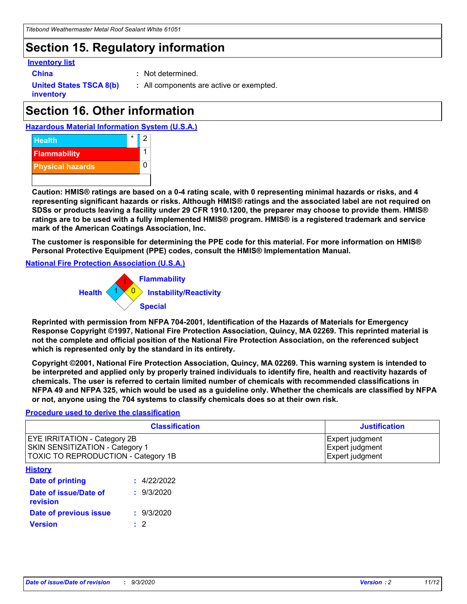# **Section 15. Regulatory information**

#### **Inventory list**

- 
- **China :** Not determined.

**United States TSCA 8(b) inventory**

**:** All components are active or exempted.

# **Section 16. Other information**

**Hazardous Material Information System (U.S.A.)**



**Caution: HMIS® ratings are based on a 0-4 rating scale, with 0 representing minimal hazards or risks, and 4 representing significant hazards or risks. Although HMIS® ratings and the associated label are not required on SDSs or products leaving a facility under 29 CFR 1910.1200, the preparer may choose to provide them. HMIS® ratings are to be used with a fully implemented HMIS® program. HMIS® is a registered trademark and service mark of the American Coatings Association, Inc.**

**The customer is responsible for determining the PPE code for this material. For more information on HMIS® Personal Protective Equipment (PPE) codes, consult the HMIS® Implementation Manual.**

**National Fire Protection Association (U.S.A.)**



**Reprinted with permission from NFPA 704-2001, Identification of the Hazards of Materials for Emergency Response Copyright ©1997, National Fire Protection Association, Quincy, MA 02269. This reprinted material is not the complete and official position of the National Fire Protection Association, on the referenced subject which is represented only by the standard in its entirety.**

**Copyright ©2001, National Fire Protection Association, Quincy, MA 02269. This warning system is intended to be interpreted and applied only by properly trained individuals to identify fire, health and reactivity hazards of chemicals. The user is referred to certain limited number of chemicals with recommended classifications in NFPA 49 and NFPA 325, which would be used as a guideline only. Whether the chemicals are classified by NFPA or not, anyone using the 704 systems to classify chemicals does so at their own risk.**

#### **Procedure used to derive the classification**

| <b>Classification</b>                                                                                         | <b>Justification</b>                                  |
|---------------------------------------------------------------------------------------------------------------|-------------------------------------------------------|
| <b>EYE IRRITATION - Category 2B</b><br>SKIN SENSITIZATION - Category 1<br>TOXIC TO REPRODUCTION - Category 1B | Expert judgment<br>Expert judgment<br>Expert judgment |
| <b>History</b>                                                                                                |                                                       |

| .                                 |             |
|-----------------------------------|-------------|
| Date of printing                  | : 4/22/2022 |
| Date of issue/Date of<br>revision | : 9/3/2020  |
| Date of previous issue            | : 9/3/2020  |
| <b>Version</b>                    | $\cdot$ 2   |
|                                   |             |